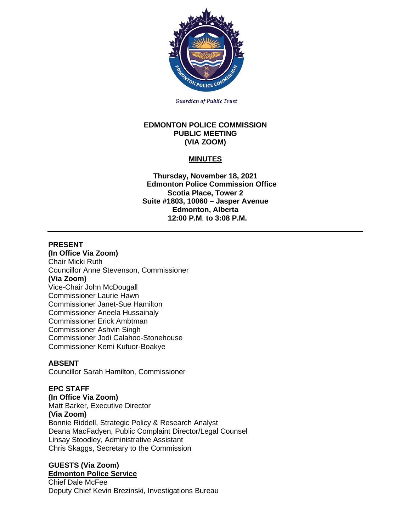

**Guardian of Public Trust** 

#### **EDMONTON POLICE COMMISSION PUBLIC MEETING (VIA ZOOM)**

# **MINUTES**

**Thursday, November 18, 2021 Edmonton Police Commission Office Scotia Place, Tower 2 Suite #1803, 10060 – Jasper Avenue Edmonton, Alberta 12:00 P.M**. **to 3:08 P.M.**

## **PRESENT**

**(In Office Via Zoom)** Chair Micki Ruth Councillor Anne Stevenson, Commissioner **(Via Zoom)** Vice-Chair John McDougall Commissioner Laurie Hawn Commissioner Janet-Sue Hamilton Commissioner Aneela Hussainaly Commissioner Erick Ambtman Commissioner Ashvin Singh Commissioner Jodi Calahoo-Stonehouse Commissioner Kemi Kufuor-Boakye

## **ABSENT**

Councillor Sarah Hamilton, Commissioner

## **EPC STAFF**

**(In Office Via Zoom)** Matt Barker, Executive Director **(Via Zoom)** Bonnie Riddell, Strategic Policy & Research Analyst Deana MacFadyen, Public Complaint Director/Legal Counsel Linsay Stoodley, Administrative Assistant Chris Skaggs, Secretary to the Commission

#### **GUESTS (Via Zoom) Edmonton Police Service**

Chief Dale McFee Deputy Chief Kevin Brezinski, Investigations Bureau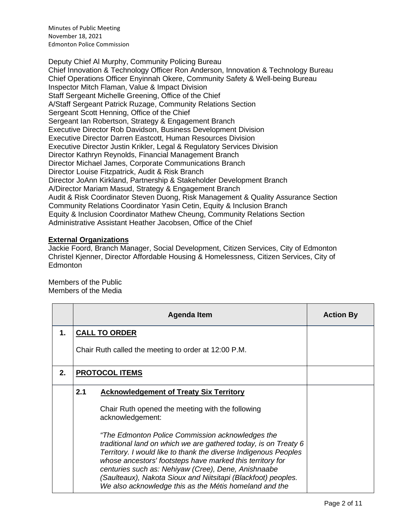Minutes of Public Meeting November 18, 2021 Edmonton Police Commission

Deputy Chief Al Murphy, Community Policing Bureau Chief Innovation & Technology Officer Ron Anderson, Innovation & Technology Bureau Chief Operations Officer Enyinnah Okere, Community Safety & Well-being Bureau Inspector Mitch Flaman, Value & Impact Division Staff Sergeant Michelle Greening, Office of the Chief A/Staff Sergeant Patrick Ruzage, Community Relations Section Sergeant Scott Henning, Office of the Chief Sergeant Ian Robertson, Strategy & Engagement Branch Executive Director Rob Davidson, Business Development Division Executive Director Darren Eastcott, Human Resources Division Executive Director Justin Krikler, Legal & Regulatory Services Division Director Kathryn Reynolds, Financial Management Branch Director Michael James, Corporate Communications Branch Director Louise Fitzpatrick, Audit & Risk Branch Director JoAnn Kirkland, Partnership & Stakeholder Development Branch A/Director Mariam Masud, Strategy & Engagement Branch Audit & Risk Coordinator Steven Duong, Risk Management & Quality Assurance Section Community Relations Coordinator Yasin Cetin, Equity & Inclusion Branch Equity & Inclusion Coordinator Mathew Cheung, Community Relations Section Administrative Assistant Heather Jacobsen, Office of the Chief

## **External Organizations**

Jackie Foord, Branch Manager, Social Development, Citizen Services, City of Edmonton Christel Kjenner, Director Affordable Housing & Homelessness, Citizen Services, City of **Edmonton** 

Members of the Public Members of the Media

|    |     | Agenda Item                                                                                                                                                                                                                                                                                                                                                                                                                           | <b>Action By</b> |  |  |  |
|----|-----|---------------------------------------------------------------------------------------------------------------------------------------------------------------------------------------------------------------------------------------------------------------------------------------------------------------------------------------------------------------------------------------------------------------------------------------|------------------|--|--|--|
| 1. |     | <b>CALL TO ORDER</b>                                                                                                                                                                                                                                                                                                                                                                                                                  |                  |  |  |  |
|    |     | Chair Ruth called the meeting to order at 12:00 P.M.                                                                                                                                                                                                                                                                                                                                                                                  |                  |  |  |  |
| 2. |     | <b>PROTOCOL ITEMS</b>                                                                                                                                                                                                                                                                                                                                                                                                                 |                  |  |  |  |
|    | 2.1 | <b>Acknowledgement of Treaty Six Territory</b>                                                                                                                                                                                                                                                                                                                                                                                        |                  |  |  |  |
|    |     | Chair Ruth opened the meeting with the following<br>acknowledgement:                                                                                                                                                                                                                                                                                                                                                                  |                  |  |  |  |
|    |     | "The Edmonton Police Commission acknowledges the<br>traditional land on which we are gathered today, is on Treaty 6<br>Territory. I would like to thank the diverse Indigenous Peoples<br>whose ancestors' footsteps have marked this territory for<br>centuries such as: Nehiyaw (Cree), Dene, Anishnaabe<br>(Saulteaux), Nakota Sioux and Niitsitapi (Blackfoot) peoples.<br>We also acknowledge this as the Métis homeland and the |                  |  |  |  |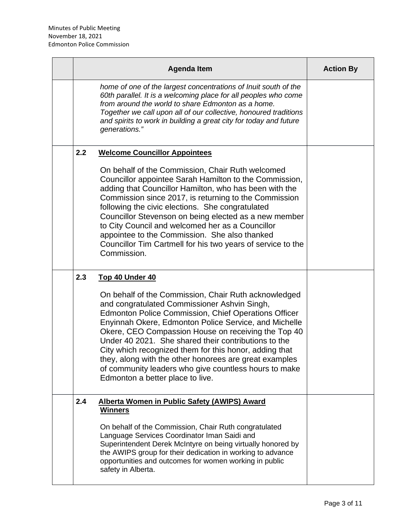|     | <b>Agenda Item</b>                                                                                                                                                                                                                                                                                                                                                                                                                                                                                                                                           | <b>Action By</b> |
|-----|--------------------------------------------------------------------------------------------------------------------------------------------------------------------------------------------------------------------------------------------------------------------------------------------------------------------------------------------------------------------------------------------------------------------------------------------------------------------------------------------------------------------------------------------------------------|------------------|
|     | home of one of the largest concentrations of Inuit south of the<br>60th parallel. It is a welcoming place for all peoples who come<br>from around the world to share Edmonton as a home.<br>Together we call upon all of our collective, honoured traditions<br>and spirits to work in building a great city for today and future<br>generations."                                                                                                                                                                                                           |                  |
| 2.2 | <b>Welcome Councillor Appointees</b>                                                                                                                                                                                                                                                                                                                                                                                                                                                                                                                         |                  |
|     | On behalf of the Commission, Chair Ruth welcomed<br>Councillor appointee Sarah Hamilton to the Commission,<br>adding that Councillor Hamilton, who has been with the<br>Commission since 2017, is returning to the Commission<br>following the civic elections. She congratulated<br>Councillor Stevenson on being elected as a new member<br>to City Council and welcomed her as a Councillor<br>appointee to the Commission. She also thanked<br>Councillor Tim Cartmell for his two years of service to the<br>Commission.                                |                  |
| 2.3 | <b>Top 40 Under 40</b>                                                                                                                                                                                                                                                                                                                                                                                                                                                                                                                                       |                  |
|     | On behalf of the Commission, Chair Ruth acknowledged<br>and congratulated Commissioner Ashvin Singh,<br><b>Edmonton Police Commission, Chief Operations Officer</b><br>Enyinnah Okere, Edmonton Police Service, and Michelle<br>Okere, CEO Compassion House on receiving the Top 40<br>Under 40 2021. She shared their contributions to the<br>City which recognized them for this honor, adding that<br>they, along with the other honorees are great examples<br>of community leaders who give countless hours to make<br>Edmonton a better place to live. |                  |
| 2.4 | <b>Alberta Women in Public Safety (AWIPS) Award</b><br><b>Winners</b>                                                                                                                                                                                                                                                                                                                                                                                                                                                                                        |                  |
|     | On behalf of the Commission, Chair Ruth congratulated<br>Language Services Coordinator Iman Saidi and<br>Superintendent Derek McIntyre on being virtually honored by<br>the AWIPS group for their dedication in working to advance<br>opportunities and outcomes for women working in public<br>safety in Alberta.                                                                                                                                                                                                                                           |                  |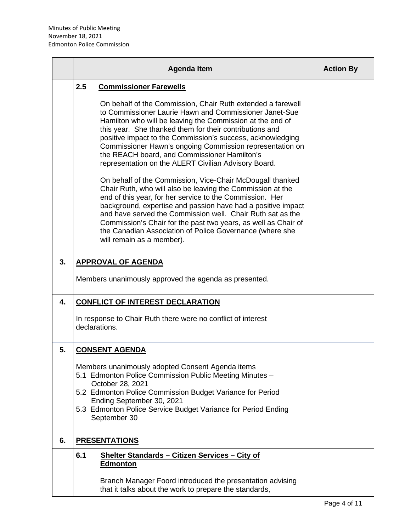|                | <b>Agenda Item</b>                                                                                                                                                                                                                                                                                                                                                                                                                                                                                                                                                                                                                                                                                                                                                                                                                                                                                                                                                                                      | <b>Action By</b> |
|----------------|---------------------------------------------------------------------------------------------------------------------------------------------------------------------------------------------------------------------------------------------------------------------------------------------------------------------------------------------------------------------------------------------------------------------------------------------------------------------------------------------------------------------------------------------------------------------------------------------------------------------------------------------------------------------------------------------------------------------------------------------------------------------------------------------------------------------------------------------------------------------------------------------------------------------------------------------------------------------------------------------------------|------------------|
|                | 2.5<br><b>Commissioner Farewells</b><br>On behalf of the Commission, Chair Ruth extended a farewell<br>to Commissioner Laurie Hawn and Commissioner Janet-Sue<br>Hamilton who will be leaving the Commission at the end of<br>this year. She thanked them for their contributions and<br>positive impact to the Commission's success, acknowledging<br>Commissioner Hawn's ongoing Commission representation on<br>the REACH board, and Commissioner Hamilton's<br>representation on the ALERT Civilian Advisory Board.<br>On behalf of the Commission, Vice-Chair McDougall thanked<br>Chair Ruth, who will also be leaving the Commission at the<br>end of this year, for her service to the Commission. Her<br>background, expertise and passion have had a positive impact<br>and have served the Commission well. Chair Ruth sat as the<br>Commission's Chair for the past two years, as well as Chair of<br>the Canadian Association of Police Governance (where she<br>will remain as a member). |                  |
| 3 <sub>1</sub> | <b>APPROVAL OF AGENDA</b><br>Members unanimously approved the agenda as presented.                                                                                                                                                                                                                                                                                                                                                                                                                                                                                                                                                                                                                                                                                                                                                                                                                                                                                                                      |                  |
| 4.             | <b>CONFLICT OF INTEREST DECLARATION</b><br>In response to Chair Ruth there were no conflict of interest<br>declarations.                                                                                                                                                                                                                                                                                                                                                                                                                                                                                                                                                                                                                                                                                                                                                                                                                                                                                |                  |
| 5.             | <b>CONSENT AGENDA</b><br>Members unanimously adopted Consent Agenda items<br>5.1 Edmonton Police Commission Public Meeting Minutes -<br>October 28, 2021<br>5.2 Edmonton Police Commission Budget Variance for Period<br>Ending September 30, 2021<br>5.3 Edmonton Police Service Budget Variance for Period Ending<br>September 30                                                                                                                                                                                                                                                                                                                                                                                                                                                                                                                                                                                                                                                                     |                  |
| 6.             | <b>PRESENTATIONS</b>                                                                                                                                                                                                                                                                                                                                                                                                                                                                                                                                                                                                                                                                                                                                                                                                                                                                                                                                                                                    |                  |
|                | 6.1<br>Shelter Standards - Citizen Services - City of<br><b>Edmonton</b><br>Branch Manager Foord introduced the presentation advising<br>that it talks about the work to prepare the standards,                                                                                                                                                                                                                                                                                                                                                                                                                                                                                                                                                                                                                                                                                                                                                                                                         |                  |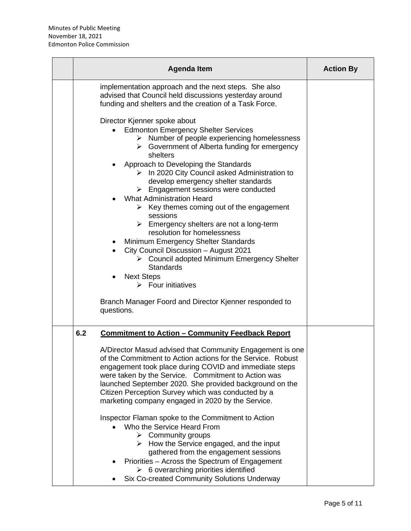|     | <b>Agenda Item</b>                                                                                                                                                                                                                                                                                                                                                                                                                                                                                                                                                                                                                                                                                                                                                                                                                                                                              | <b>Action By</b> |
|-----|-------------------------------------------------------------------------------------------------------------------------------------------------------------------------------------------------------------------------------------------------------------------------------------------------------------------------------------------------------------------------------------------------------------------------------------------------------------------------------------------------------------------------------------------------------------------------------------------------------------------------------------------------------------------------------------------------------------------------------------------------------------------------------------------------------------------------------------------------------------------------------------------------|------------------|
|     | implementation approach and the next steps. She also<br>advised that Council held discussions yesterday around<br>funding and shelters and the creation of a Task Force.                                                                                                                                                                                                                                                                                                                                                                                                                                                                                                                                                                                                                                                                                                                        |                  |
|     | Director Kjenner spoke about<br><b>Edmonton Emergency Shelter Services</b><br>Number of people experiencing homelessness<br>➤<br>Government of Alberta funding for emergency<br>➤<br>shelters<br>Approach to Developing the Standards<br>$\triangleright$ In 2020 City Council asked Administration to<br>develop emergency shelter standards<br>$\triangleright$ Engagement sessions were conducted<br><b>What Administration Heard</b><br>$\triangleright$ Key themes coming out of the engagement<br>sessions<br>$\triangleright$ Emergency shelters are not a long-term<br>resolution for homelessness<br>Minimum Emergency Shelter Standards<br>City Council Discussion - August 2021<br>> Council adopted Minimum Emergency Shelter<br><b>Standards</b><br><b>Next Steps</b><br>$\triangleright$ Four initiatives<br>Branch Manager Foord and Director Kjenner responded to<br>questions. |                  |
| 6.2 | <u><b>Commitment to Action - Community Feedback Report</b></u><br>A/Director Masud advised that Community Engagement is one<br>of the Commitment to Action actions for the Service. Robust<br>engagement took place during COVID and immediate steps<br>were taken by the Service. Commitment to Action was<br>launched September 2020. She provided background on the<br>Citizen Perception Survey which was conducted by a<br>marketing company engaged in 2020 by the Service.<br>Inspector Flaman spoke to the Commitment to Action<br>Who the Service Heard From<br>$\triangleright$ Community groups<br>$\triangleright$ How the Service engaged, and the input<br>gathered from the engagement sessions<br>Priorities - Across the Spectrum of Engagement<br>$\triangleright$ 6 overarching priorities identified<br>Six Co-created Community Solutions Underway                         |                  |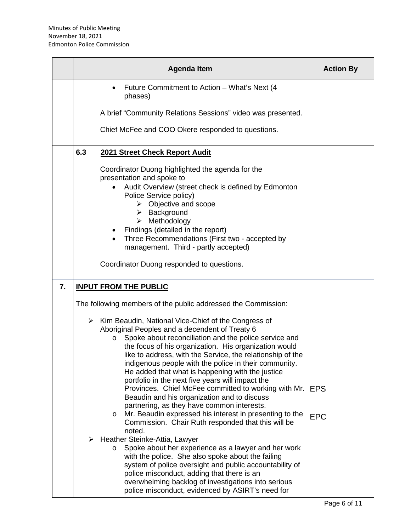|    | <b>Agenda Item</b>                                                                                                                                                                                                                                                                                                                                                                                                                                                                                                                                                                                                                                                                                                                                                                                                                                                                                                                                                                                                       | <b>Action By</b>         |
|----|--------------------------------------------------------------------------------------------------------------------------------------------------------------------------------------------------------------------------------------------------------------------------------------------------------------------------------------------------------------------------------------------------------------------------------------------------------------------------------------------------------------------------------------------------------------------------------------------------------------------------------------------------------------------------------------------------------------------------------------------------------------------------------------------------------------------------------------------------------------------------------------------------------------------------------------------------------------------------------------------------------------------------|--------------------------|
|    | Future Commitment to Action - What's Next (4<br>phases)                                                                                                                                                                                                                                                                                                                                                                                                                                                                                                                                                                                                                                                                                                                                                                                                                                                                                                                                                                  |                          |
|    | A brief "Community Relations Sessions" video was presented.                                                                                                                                                                                                                                                                                                                                                                                                                                                                                                                                                                                                                                                                                                                                                                                                                                                                                                                                                              |                          |
|    | Chief McFee and COO Okere responded to questions.                                                                                                                                                                                                                                                                                                                                                                                                                                                                                                                                                                                                                                                                                                                                                                                                                                                                                                                                                                        |                          |
|    | 6.3<br>2021 Street Check Report Audit                                                                                                                                                                                                                                                                                                                                                                                                                                                                                                                                                                                                                                                                                                                                                                                                                                                                                                                                                                                    |                          |
|    | Coordinator Duong highlighted the agenda for the<br>presentation and spoke to<br>Audit Overview (street check is defined by Edmonton<br>Police Service policy)<br>$\triangleright$ Objective and scope<br>$\triangleright$ Background<br>$\triangleright$ Methodology<br>Findings (detailed in the report)<br>Three Recommendations (First two - accepted by<br>$\bullet$<br>management. Third - partly accepted)<br>Coordinator Duong responded to questions.                                                                                                                                                                                                                                                                                                                                                                                                                                                                                                                                                           |                          |
| 7. | <b>INPUT FROM THE PUBLIC</b>                                                                                                                                                                                                                                                                                                                                                                                                                                                                                                                                                                                                                                                                                                                                                                                                                                                                                                                                                                                             |                          |
|    | The following members of the public addressed the Commission:                                                                                                                                                                                                                                                                                                                                                                                                                                                                                                                                                                                                                                                                                                                                                                                                                                                                                                                                                            |                          |
|    | > Kim Beaudin, National Vice-Chief of the Congress of<br>Aboriginal Peoples and a decendent of Treaty 6<br>Spoke about reconciliation and the police service and<br>$\circ$<br>the focus of his organization. His organization would<br>like to address, with the Service, the relationship of the<br>indigenous people with the police in their community.<br>He added that what is happening with the justice<br>portfolio in the next five years will impact the<br>Provinces. Chief McFee committed to working with Mr.<br>Beaudin and his organization and to discuss<br>partnering, as they have common interests.<br>Mr. Beaudin expressed his interest in presenting to the<br>O<br>Commission. Chair Ruth responded that this will be<br>noted.<br>Heather Steinke-Attia, Lawyer<br>➤<br>Spoke about her experience as a lawyer and her work<br>O<br>with the police. She also spoke about the failing<br>system of police oversight and public accountability of<br>police misconduct, adding that there is an | <b>EPS</b><br><b>EPC</b> |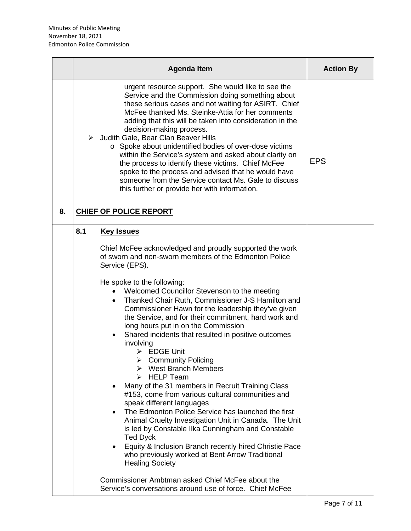|    | <b>Agenda Item</b>                                                                                                                                                                                                                                                                                                                                                                                                                                                                                                                                                                                                                                                                                                                                                                                                                                                                                                                                                                                                                                                                                                                                                                                                                                                                    | <b>Action By</b> |
|----|---------------------------------------------------------------------------------------------------------------------------------------------------------------------------------------------------------------------------------------------------------------------------------------------------------------------------------------------------------------------------------------------------------------------------------------------------------------------------------------------------------------------------------------------------------------------------------------------------------------------------------------------------------------------------------------------------------------------------------------------------------------------------------------------------------------------------------------------------------------------------------------------------------------------------------------------------------------------------------------------------------------------------------------------------------------------------------------------------------------------------------------------------------------------------------------------------------------------------------------------------------------------------------------|------------------|
|    | urgent resource support. She would like to see the<br>Service and the Commission doing something about<br>these serious cases and not waiting for ASIRT. Chief<br>McFee thanked Ms. Steinke-Attia for her comments<br>adding that this will be taken into consideration in the<br>decision-making process.<br>> Judith Gale, Bear Clan Beaver Hills<br>o Spoke about unidentified bodies of over-dose victims<br>within the Service's system and asked about clarity on<br>the process to identify these victims. Chief McFee<br>spoke to the process and advised that he would have<br>someone from the Service contact Ms. Gale to discuss<br>this further or provide her with information.                                                                                                                                                                                                                                                                                                                                                                                                                                                                                                                                                                                         | <b>EPS</b>       |
| 8. | <b>CHIEF OF POLICE REPORT</b>                                                                                                                                                                                                                                                                                                                                                                                                                                                                                                                                                                                                                                                                                                                                                                                                                                                                                                                                                                                                                                                                                                                                                                                                                                                         |                  |
|    | 8.1<br><b>Key Issues</b><br>Chief McFee acknowledged and proudly supported the work<br>of sworn and non-sworn members of the Edmonton Police<br>Service (EPS).<br>He spoke to the following:<br>Welcomed Councillor Stevenson to the meeting<br>$\bullet$<br>Thanked Chair Ruth, Commissioner J-S Hamilton and<br>$\bullet$<br>Commissioner Hawn for the leadership they've given<br>the Service, and for their commitment, hard work and<br>long hours put in on the Commission<br>Shared incidents that resulted in positive outcomes<br>involving<br>$\triangleright$ EDGE Unit<br>$\triangleright$ Community Policing<br>$\triangleright$ West Branch Members<br><b>HELP Team</b><br>Many of the 31 members in Recruit Training Class<br>#153, come from various cultural communities and<br>speak different languages<br>The Edmonton Police Service has launched the first<br>Animal Cruelty Investigation Unit in Canada. The Unit<br>is led by Constable Ilka Cunningham and Constable<br><b>Ted Dyck</b><br>Equity & Inclusion Branch recently hired Christie Pace<br>$\bullet$<br>who previously worked at Bent Arrow Traditional<br><b>Healing Society</b><br>Commissioner Ambtman asked Chief McFee about the<br>Service's conversations around use of force. Chief McFee |                  |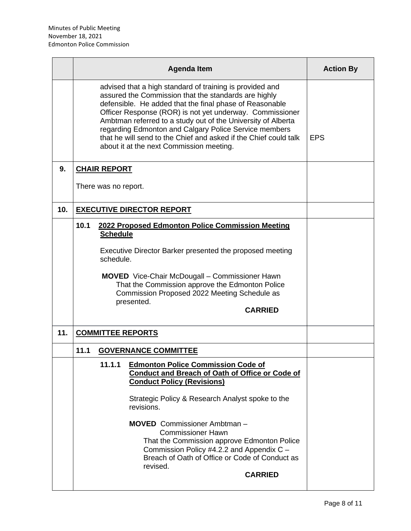|     |      |                                                                                                                                                                                                                                                                                                                                                                                                                                                                                  | <b>Agenda Item</b>                                                                                                                                                                                   | <b>Action By</b> |
|-----|------|----------------------------------------------------------------------------------------------------------------------------------------------------------------------------------------------------------------------------------------------------------------------------------------------------------------------------------------------------------------------------------------------------------------------------------------------------------------------------------|------------------------------------------------------------------------------------------------------------------------------------------------------------------------------------------------------|------------------|
|     |      | advised that a high standard of training is provided and<br>assured the Commission that the standards are highly<br>defensible. He added that the final phase of Reasonable<br>Officer Response (ROR) is not yet underway. Commissioner<br>Ambtman referred to a study out of the University of Alberta<br>regarding Edmonton and Calgary Police Service members<br>that he will send to the Chief and asked if the Chief could talk<br>about it at the next Commission meeting. | <b>EPS</b>                                                                                                                                                                                           |                  |
| 9.  |      | <b>CHAIR REPORT</b>                                                                                                                                                                                                                                                                                                                                                                                                                                                              |                                                                                                                                                                                                      |                  |
|     |      | There was no report.                                                                                                                                                                                                                                                                                                                                                                                                                                                             |                                                                                                                                                                                                      |                  |
| 10. |      |                                                                                                                                                                                                                                                                                                                                                                                                                                                                                  | <b>EXECUTIVE DIRECTOR REPORT</b>                                                                                                                                                                     |                  |
|     | 10.1 | 2022 Proposed Edmonton Police Commission Meeting<br><b>Schedule</b>                                                                                                                                                                                                                                                                                                                                                                                                              |                                                                                                                                                                                                      |                  |
|     |      | Executive Director Barker presented the proposed meeting<br>schedule.                                                                                                                                                                                                                                                                                                                                                                                                            |                                                                                                                                                                                                      |                  |
|     |      | <b>MOVED</b> Vice-Chair McDougall – Commissioner Hawn<br>That the Commission approve the Edmonton Police<br>Commission Proposed 2022 Meeting Schedule as<br>presented.                                                                                                                                                                                                                                                                                                           |                                                                                                                                                                                                      |                  |
| 11. |      |                                                                                                                                                                                                                                                                                                                                                                                                                                                                                  | <b>COMMITTEE REPORTS</b>                                                                                                                                                                             |                  |
|     | 11.1 |                                                                                                                                                                                                                                                                                                                                                                                                                                                                                  | <b>GOVERNANCE COMMITTEE</b>                                                                                                                                                                          |                  |
|     |      | 11.1.1                                                                                                                                                                                                                                                                                                                                                                                                                                                                           | <b>Edmonton Police Commission Code of</b><br><b>Conduct and Breach of Oath of Office or Code of</b><br><b>Conduct Policy (Revisions)</b><br>Strategic Policy & Research Analyst spoke to the         |                  |
|     |      |                                                                                                                                                                                                                                                                                                                                                                                                                                                                                  | revisions.<br><b>MOVED</b> Commissioner Ambtman -                                                                                                                                                    |                  |
|     |      |                                                                                                                                                                                                                                                                                                                                                                                                                                                                                  | <b>Commissioner Hawn</b><br>That the Commission approve Edmonton Police<br>Commission Policy #4.2.2 and Appendix C -<br>Breach of Oath of Office or Code of Conduct as<br>revised.<br><b>CARRIED</b> |                  |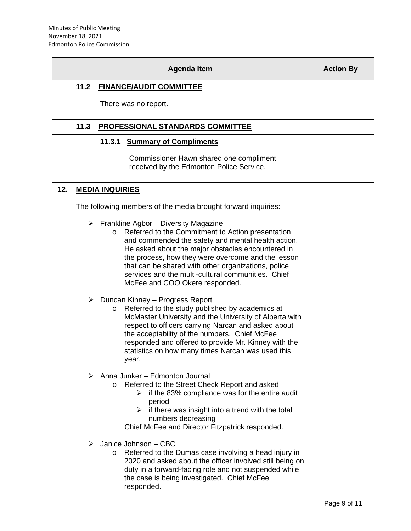|     |      | <b>Agenda Item</b>                                                                                                                                                                                                                                                                                                                                                                                                              | <b>Action By</b> |
|-----|------|---------------------------------------------------------------------------------------------------------------------------------------------------------------------------------------------------------------------------------------------------------------------------------------------------------------------------------------------------------------------------------------------------------------------------------|------------------|
|     | 11.2 | <b>FINANCE/AUDIT COMMITTEE</b>                                                                                                                                                                                                                                                                                                                                                                                                  |                  |
|     |      | There was no report.                                                                                                                                                                                                                                                                                                                                                                                                            |                  |
|     | 11.3 | <b>PROFESSIONAL STANDARDS COMMITTEE</b>                                                                                                                                                                                                                                                                                                                                                                                         |                  |
|     |      | 11.3.1<br><b>Summary of Compliments</b>                                                                                                                                                                                                                                                                                                                                                                                         |                  |
|     |      | Commissioner Hawn shared one compliment<br>received by the Edmonton Police Service.                                                                                                                                                                                                                                                                                                                                             |                  |
| 12. |      | <b>MEDIA INQUIRIES</b>                                                                                                                                                                                                                                                                                                                                                                                                          |                  |
|     |      | The following members of the media brought forward inquiries:                                                                                                                                                                                                                                                                                                                                                                   |                  |
|     |      | $\triangleright$ Frankline Agbor – Diversity Magazine<br>Referred to the Commitment to Action presentation<br>O<br>and commended the safety and mental health action.<br>He asked about the major obstacles encountered in<br>the process, how they were overcome and the lesson<br>that can be shared with other organizations, police<br>services and the multi-cultural communities. Chief<br>McFee and COO Okere responded. |                  |
|     |      | $\triangleright$ Duncan Kinney – Progress Report<br>Referred to the study published by academics at<br>O<br>McMaster University and the University of Alberta with<br>respect to officers carrying Narcan and asked about<br>the acceptability of the numbers. Chief McFee<br>responded and offered to provide Mr. Kinney with the<br>statistics on how many times Narcan was used this<br>year.                                |                  |
|     |      | $\triangleright$ Anna Junker - Edmonton Journal<br>Referred to the Street Check Report and asked<br>$\circ$<br>if the 83% compliance was for the entire audit<br>➤<br>period<br>$\triangleright$ if there was insight into a trend with the total<br>numbers decreasing<br>Chief McFee and Director Fitzpatrick responded.                                                                                                      |                  |
|     |      | Janice Johnson - CBC<br>Referred to the Dumas case involving a head injury in<br>$\circ$<br>2020 and asked about the officer involved still being on<br>duty in a forward-facing role and not suspended while<br>the case is being investigated. Chief McFee<br>responded.                                                                                                                                                      |                  |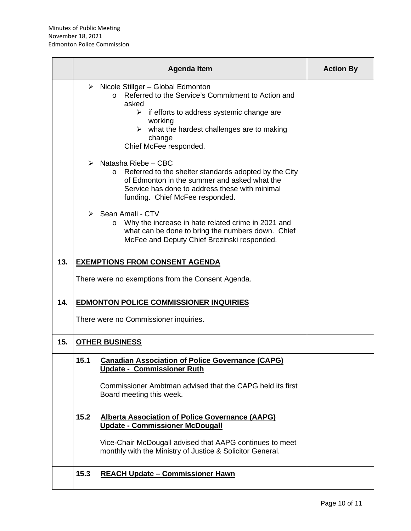|     |      | <b>Agenda Item</b>                                                                                                                                                                                                                                                                                       | <b>Action By</b> |
|-----|------|----------------------------------------------------------------------------------------------------------------------------------------------------------------------------------------------------------------------------------------------------------------------------------------------------------|------------------|
|     |      | $\triangleright$ Nicole Stillger – Global Edmonton<br>Referred to the Service's Commitment to Action and<br>$\Omega$<br>asked<br>$\triangleright$ if efforts to address systemic change are<br>working<br>$\triangleright$ what the hardest challenges are to making<br>change<br>Chief McFee responded. |                  |
|     |      | $\triangleright$ Natasha Riebe - CBC<br>Referred to the shelter standards adopted by the City<br>$\circ$<br>of Edmonton in the summer and asked what the<br>Service has done to address these with minimal<br>funding. Chief McFee responded.                                                            |                  |
|     |      | $\triangleright$ Sean Amali - CTV<br>Why the increase in hate related crime in 2021 and<br>$\circ$<br>what can be done to bring the numbers down. Chief<br>McFee and Deputy Chief Brezinski responded.                                                                                                   |                  |
| 13. |      | <b>EXEMPTIONS FROM CONSENT AGENDA</b>                                                                                                                                                                                                                                                                    |                  |
|     |      | There were no exemptions from the Consent Agenda.                                                                                                                                                                                                                                                        |                  |
| 14. |      | <b>EDMONTON POLICE COMMISSIONER INQUIRIES</b>                                                                                                                                                                                                                                                            |                  |
|     |      | There were no Commissioner inquiries.                                                                                                                                                                                                                                                                    |                  |
| 15. |      | <b>OTHER BUSINESS</b>                                                                                                                                                                                                                                                                                    |                  |
|     | 15.1 | <b>Canadian Association of Police Governance (CAPG)</b><br><b>Update - Commissioner Ruth</b><br>Commissioner Ambtman advised that the CAPG held its first<br>Board meeting this week.                                                                                                                    |                  |
|     | 15.2 | <b>Alberta Association of Police Governance (AAPG)</b><br><b>Update - Commissioner McDougall</b><br>Vice-Chair McDougall advised that AAPG continues to meet<br>monthly with the Ministry of Justice & Solicitor General.                                                                                |                  |
|     | 15.3 | <b>REACH Update - Commissioner Hawn</b>                                                                                                                                                                                                                                                                  |                  |